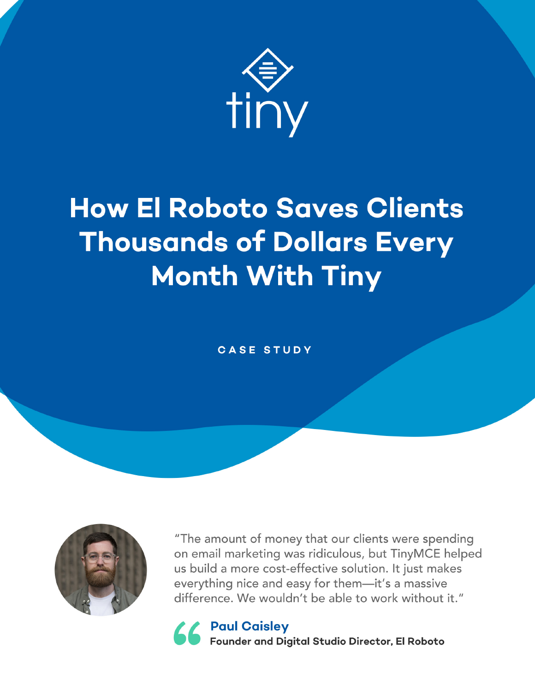

# **How El Roboto Saves Clients Thousands of Dollars Every Month With Tiny**

#### **CASE STUDY**



"The amount of money that our clients were spending on email marketing was ridiculous, but TinyMCE helped us build a more cost-effective solution. It just makes everything nice and easy for them-it's a massive difference. We wouldn't be able to work without it."

66 Paul Caisley<br>66 Founder and Digital Studio Director, El Roboto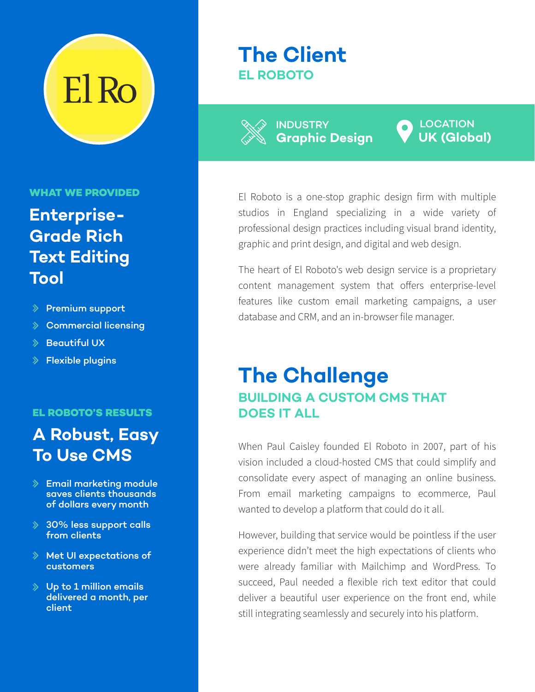

#### **WHAT WE PROVIDED**

### **Enterprise-Grade Rich Text Editing Tool**

- $\Diamond$  Premium support
- $\gg$ Commercial licensing
- $\Diamond$  Beautiful UX
- $\Diamond$  Flexible plugins

#### **EL ROBOTO'S RESULTS**

#### **A Robust, Easy To Use CMS**

- $\Diamond$  Email marketing module saves clients thousands of dollars every month
- 30% less support calls from clients
- $\Diamond$  Met UI expectations of customers
- $\Diamond$  Up to 1 million emails delivered a month, per client

#### **The Client EL ROBOTO**

**Graphic Design** INDUSTRY

**UK (Global) LOCATION** 

El Roboto is a one-stop graphic design firm with multiple studios in England specializing in a wide variety of professional design practices including visual brand identity, graphic and print design, and digital and web design.

The heart of El Roboto's web design service is a proprietary content management system that offers enterprise-level features like custom email marketing campaigns, a user database and CRM, and an in-browser file manager.

#### **The Challenge BUILDING A CUSTOM CMS THAT DOES IT ALL**

When Paul Caisley founded El Roboto in 2007, part of his vision included a cloud-hosted CMS that could simplify and consolidate every aspect of managing an online business. From email marketing campaigns to ecommerce, Paul wanted to develop a platform that could do it all.

However, building that service would be pointless if the user experience didn't meet the high expectations of clients who were already familiar with Mailchimp and WordPress. To succeed, Paul needed a flexible rich text editor that could deliver a beautiful user experience on the front end, while still integrating seamlessly and securely into his platform.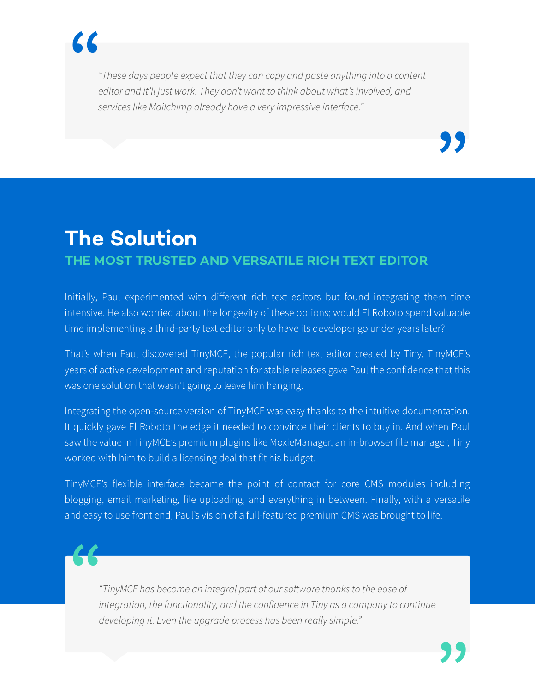

*"These days people expect that they can copy and paste anything into a content editor and it'll just work. They don't want to think about what's involved, and services like Mailchimp already have a very impressive interface."*

### **The Solution THE MOST TRUSTED AND VERSATILE RICH TEXT EDITOR**

Initially, Paul experimented with different rich text editors but found integrating them time intensive. He also worried about the longevity of these options; would El Roboto spend valuable time implementing a third-party text editor only to have its developer go under years later?

That's when Paul discovered TinyMCE, the popular rich text editor created by Tiny. TinyMCE's years of active development and reputation for stable releases gave Paul the confidence that this was one solution that wasn't going to leave him hanging.

Integrating the open-source version of TinyMCE was easy thanks to the intuitive documentation. It quickly gave El Roboto the edge it needed to convince their clients to buy in. And when Paul saw the value in TinyMCE's premium plugins like MoxieManager, an in-browser file manager, Tiny worked with him to build a licensing deal that fit his budget.

TinyMCE's flexible interface became the point of contact for core CMS modules including blogging, email marketing, file uploading, and everything in between. Finally, with a versatile and easy to use front end, Paul's vision of a full-featured premium CMS was brought to life.



*"TinyMCE has become an integral part of our software thanks to the ease of integration, the functionality, and the confidence in Tiny as a company to continue developing it. Even the upgrade process has been really simple."*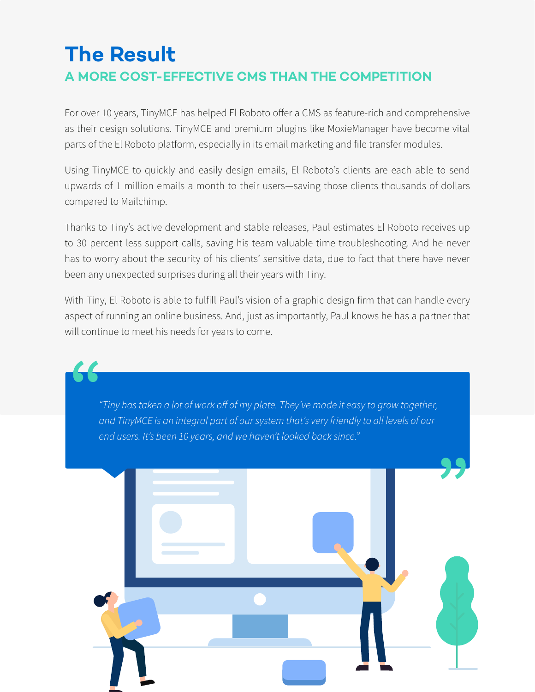## **The Result A MORE COST-EFFECTIVE CMS THAN THE COMPETITION**

For over 10 years, TinyMCE has helped El Roboto offer a CMS as feature-rich and comprehensive as their design solutions. TinyMCE and premium plugins like MoxieManager have become vital parts of the El Roboto platform, especially in its email marketing and file transfer modules.

Using TinyMCE to quickly and easily design emails, El Roboto's clients are each able to send upwards of 1 million emails a month to their users—saving those clients thousands of dollars compared to Mailchimp.

Thanks to Tiny's active development and stable releases, Paul estimates El Roboto receives up to 30 percent less support calls, saving his team valuable time troubleshooting. And he never has to worry about the security of his clients' sensitive data, due to fact that there have never been any unexpected surprises during all their years with Tiny.

With Tiny, El Roboto is able to fulfill Paul's vision of a graphic design firm that can handle every aspect of running an online business. And, just as importantly, Paul knows he has a partner that will continue to meet his needs for years to come.

*"Tiny has taken a lot of work off of my plate. They've made it easy to grow together, and TinyMCE is an integral part of our system that's very friendly to all levels of our end users. It's been 10 years, and we haven't looked back since."* **"**